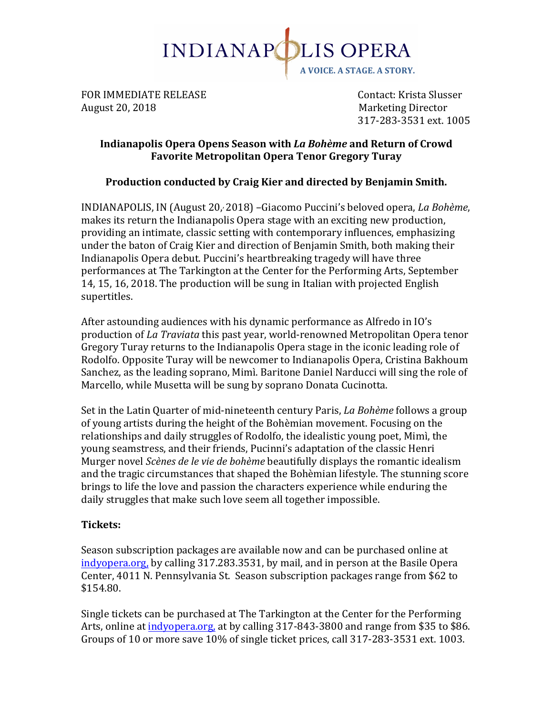

FOR IMMEDIATE RELEASE **Supering the Contact:** Krista Slusser August 20, 2018 Marketing Director

317-283-3531 ext. 1005

## **Indianapolis Opera Opens Season with** *La Bohème* **and Return of Crowd Favorite Metropolitan Opera Tenor Gregory Turay**

## **Production conducted by Craig Kier and directed by Benjamin Smith.**

INDIANAPOLIS, IN (August 20, 2018) – Giacomo Puccini's beloved opera, *La Bohème*, makes its return the Indianapolis Opera stage with an exciting new production, providing an intimate, classic setting with contemporary influences, emphasizing under the baton of Craig Kier and direction of Benjamin Smith, both making their Indianapolis Opera debut. Puccini's heartbreaking tragedy will have three performances at The Tarkington at the Center for the Performing Arts, September 14, 15, 16, 2018. The production will be sung in Italian with projected English supertitles. 

After astounding audiences with his dynamic performance as Alfredo in IO's production of *La Traviata* this past year, world-renowned Metropolitan Opera tenor Gregory Turay returns to the Indianapolis Opera stage in the iconic leading role of Rodolfo. Opposite Turay will be newcomer to Indianapolis Opera, Cristina Bakhoum Sanchez, as the leading soprano, Mimì. Baritone Daniel Narducci will sing the role of Marcello, while Musetta will be sung by soprano Donata Cucinotta.

Set in the Latin Quarter of mid-nineteenth century Paris, *La Bohème* follows a group of young artists during the height of the Bohèmian movement. Focusing on the relationships and daily struggles of Rodolfo, the idealistic young poet, Mimì, the young seamstress, and their friends, Pucinni's adaptation of the classic Henri Murger novel *Scènes de le vie de bohème* beautifully displays the romantic idealism and the tragic circumstances that shaped the Bohèmian lifestyle. The stunning score brings to life the love and passion the characters experience while enduring the daily struggles that make such love seem all together impossible.

## **Tickets:**

Season subscription packages are available now and can be purchased online at indyopera.org, by calling 317.283.3531, by mail, and in person at the Basile Opera Center, 4011 N. Pennsylvania St. Season subscription packages range from \$62 to \$154.80. 

Single tickets can be purchased at The Tarkington at the Center for the Performing Arts, online at indyopera.org, at by calling 317-843-3800 and range from \$35 to \$86. Groups of 10 or more save 10% of single ticket prices, call 317-283-3531 ext. 1003.